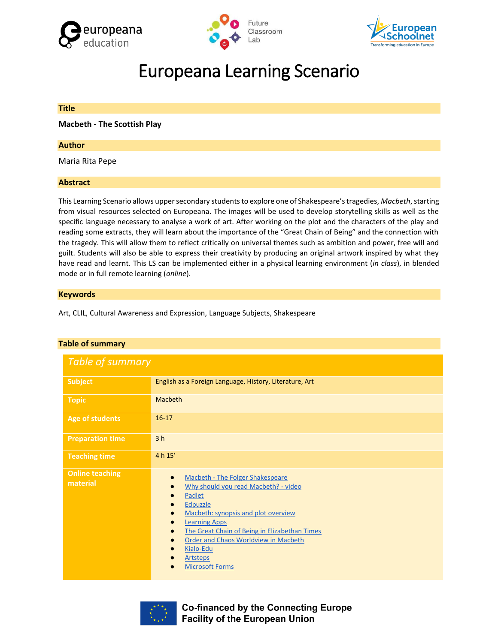





# Europeana Learning Scenario

# **Title**

**Macbeth - The Scottish Play**

# **Author**

Maria Rita Pepe

# **Abstract**

This Learning Scenario allows upper secondary students to explore one of Shakespeare's tragedies, *Macbeth*, starting from visual resources selected on Europeana. The images will be used to develop storytelling skills as well as the specific language necessary to analyse a work of art. After working on the plot and the characters of the play and reading some extracts, they will learn about the importance of the "Great Chain of Being" and the connection with the tragedy. This will allow them to reflect critically on universal themes such as ambition and power, free will and guilt. Students will also be able to express their creativity by producing an original artwork inspired by what they have read and learnt. This LS can be implemented either in a physical learning environment (*in class*), in blended mode or in full remote learning (*online*).

# **Keywords**

Art, CLIL, Cultural Awareness and Expression, Language Subjects, Shakespeare

| able of summary                    |                                                                                                                                                                                                                                                                                                                  |  |  |  |  |
|------------------------------------|------------------------------------------------------------------------------------------------------------------------------------------------------------------------------------------------------------------------------------------------------------------------------------------------------------------|--|--|--|--|
| Table of summary                   |                                                                                                                                                                                                                                                                                                                  |  |  |  |  |
| <b>Subject</b>                     | English as a Foreign Language, History, Literature, Art                                                                                                                                                                                                                                                          |  |  |  |  |
| <b>Topic</b>                       | Macbeth                                                                                                                                                                                                                                                                                                          |  |  |  |  |
| <b>Age of students</b>             | $16-17$                                                                                                                                                                                                                                                                                                          |  |  |  |  |
| <b>Preparation time</b>            | 3 <sub>h</sub>                                                                                                                                                                                                                                                                                                   |  |  |  |  |
| <b>Teaching time</b>               | 4 h 15'                                                                                                                                                                                                                                                                                                          |  |  |  |  |
| <b>Online teaching</b><br>material | Macbeth - The Folger Shakespeare<br>Why should you read Macbeth? - video<br>Padlet<br>Edpuzzle<br>Macbeth: synopsis and plot overview<br><b>Learning Apps</b><br>The Great Chain of Being in Elizabethan Times<br>Order and Chaos Worldview in Macbeth<br>Kialo-Edu<br><b>Artsteps</b><br><b>Microsoft Forms</b> |  |  |  |  |

# **Table of summary**



**Co-financed by the Connecting Europe Facility of the European Union**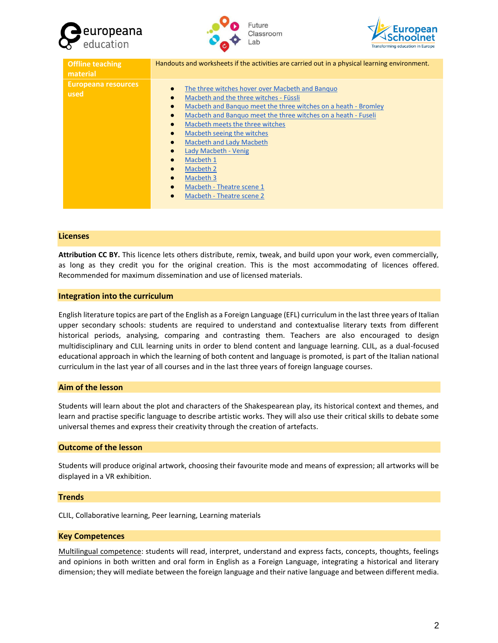





| <b>Offline teaching</b><br>material | Handouts and worksheets if the activities are carried out in a physical learning environment.                                                                                                                                                                                                                                                                                                                                                                                                                                                                                                                                      |
|-------------------------------------|------------------------------------------------------------------------------------------------------------------------------------------------------------------------------------------------------------------------------------------------------------------------------------------------------------------------------------------------------------------------------------------------------------------------------------------------------------------------------------------------------------------------------------------------------------------------------------------------------------------------------------|
| Europeana resources<br>used         | The three witches hover over Macbeth and Banguo<br>$\bullet$<br>Macbeth and the three witches - Füssli<br>$\bullet$<br>Macbeth and Banguo meet the three witches on a heath - Bromley<br>$\bullet$<br>Macbeth and Banguo meet the three witches on a heath - Fuseli<br>$\bullet$<br>Macbeth meets the three witches<br>$\bullet$<br>Macbeth seeing the witches<br>$\bullet$<br><b>Macbeth and Lady Macbeth</b><br>$\bullet$<br>Lady Macbeth - Venig<br>$\bullet$<br>Macbeth 1<br>$\bullet$<br>Macbeth 2<br>$\bullet$<br>Macbeth 3<br>$\bullet$<br>Macbeth - Theatre scene 1<br>$\bullet$<br>Macbeth - Theatre scene 2<br>$\bullet$ |

#### **Licenses**

**Attribution CC BY.** This licence lets others distribute, remix, tweak, and build upon your work, even commercially, as long as they credit you for the original creation. This is the most accommodating of licences offered. Recommended for maximum dissemination and use of licensed materials.

#### **Integration into the curriculum**

English literature topics are part of the English as a Foreign Language (EFL) curriculum in the last three years of Italian upper secondary schools: students are required to understand and contextualise literary texts from different historical periods, analysing, comparing and contrasting them. Teachers are also encouraged to design multidisciplinary and CLIL learning units in order to blend content and language learning. CLIL, as a dual-focused educational approach in which the learning of both content and language is promoted, is part of the Italian national curriculum in the last year of all courses and in the last three years of foreign language courses.

#### **Aim of the lesson**

Students will learn about the plot and characters of the Shakespearean play, its historical context and themes, and learn and practise specific language to describe artistic works. They will also use their critical skills to debate some universal themes and express their creativity through the creation of artefacts.

# **Outcome of the lesson**

Students will produce original artwork, choosing their favourite mode and means of expression; all artworks will be displayed in a VR exhibition.

#### **Trends**

CLIL, Collaborative learning, Peer learning, Learning materials

#### **Key Competences**

Multilingual competence: students will read, interpret, understand and express facts, concepts, thoughts, feelings and opinions in both written and oral form in English as a Foreign Language, integrating a historical and literary dimension; they will mediate between the foreign language and their native language and between different media.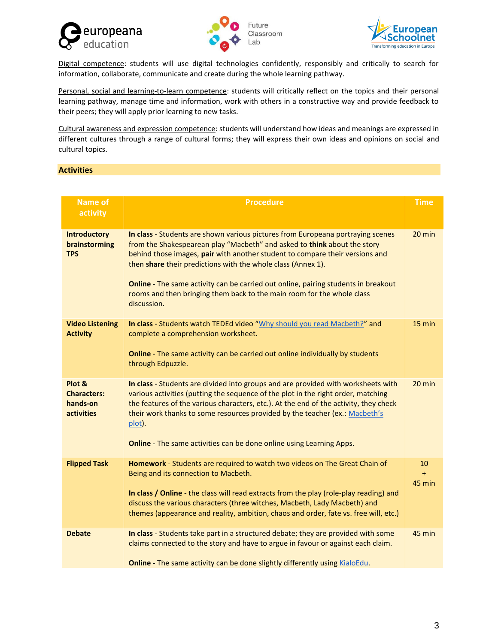





Digital competence: students will use digital technologies confidently, responsibly and critically to search for information, collaborate, communicate and create during the whole learning pathway.

Personal, social and learning-to-learn competence: students will critically reflect on the topics and their personal learning pathway, manage time and information, work with others in a constructive way and provide feedback to their peers; they will apply prior learning to new tasks.

Cultural awareness and expression competence: students will understand how ideas and meanings are expressed in different cultures through a range of cultural forms; they will express their own ideas and opinions on social and cultural topics.

# **Activities**

| <b>Name of</b><br>activity                             | <b>Procedure</b>                                                                                                                                                                                                                                                                                                                                                                                                                                                                           |        |  |  |
|--------------------------------------------------------|--------------------------------------------------------------------------------------------------------------------------------------------------------------------------------------------------------------------------------------------------------------------------------------------------------------------------------------------------------------------------------------------------------------------------------------------------------------------------------------------|--------|--|--|
| <b>Introductory</b><br>brainstorming<br><b>TPS</b>     | In class - Students are shown various pictures from Europeana portraying scenes<br>from the Shakespearean play "Macbeth" and asked to think about the story<br>behind those images, pair with another student to compare their versions and<br>then share their predictions with the whole class (Annex 1).<br>Online - The same activity can be carried out online, pairing students in breakout<br>rooms and then bringing them back to the main room for the whole class<br>discussion. |        |  |  |
| <b>Video Listening</b><br><b>Activity</b>              | In class - Students watch TEDEd video "Why should you read Macbeth?" and<br>complete a comprehension worksheet.<br>Online - The same activity can be carried out online individually by students<br>through Edpuzzle.                                                                                                                                                                                                                                                                      |        |  |  |
| Plot &<br><b>Characters:</b><br>hands-on<br>activities | In class - Students are divided into groups and are provided with worksheets with<br>various activities (putting the sequence of the plot in the right order, matching<br>the features of the various characters, etc.). At the end of the activity, they check<br>their work thanks to some resources provided by the teacher (ex.: Macbeth's<br>plot).<br>Online - The same activities can be done online using Learning Apps.                                                           |        |  |  |
| <b>Flipped Task</b>                                    | Homework - Students are required to watch two videos on The Great Chain of<br>Being and its connection to Macbeth.<br>In class / Online - the class will read extracts from the play (role-play reading) and<br>discuss the various characters (three witches, Macbeth, Lady Macbeth) and<br>themes (appearance and reality, ambition, chaos and order, fate vs. free will, etc.)                                                                                                          |        |  |  |
| <b>Debate</b>                                          | In class - Students take part in a structured debate; they are provided with some<br>claims connected to the story and have to argue in favour or against each claim.<br><b>Online</b> - The same activity can be done slightly differently using KialoEdu.                                                                                                                                                                                                                                | 45 min |  |  |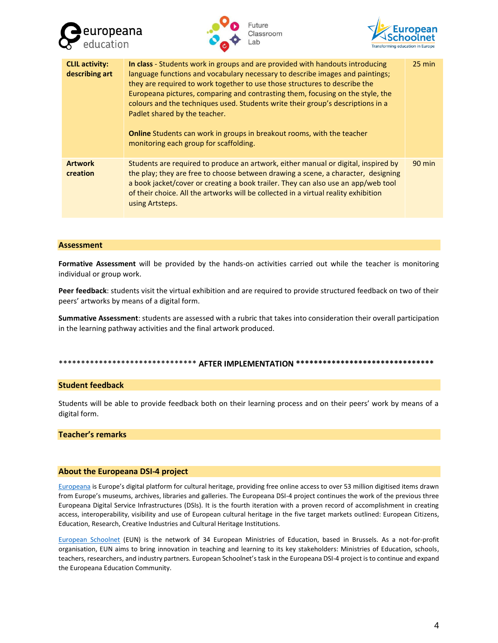





| <b>CLIL activity:</b><br>describing art | In class - Students work in groups and are provided with handouts introducing<br>language functions and vocabulary necessary to describe images and paintings;<br>they are required to work together to use those structures to describe the<br>Europeana pictures, comparing and contrasting them, focusing on the style, the<br>colours and the techniques used. Students write their group's descriptions in a<br>Padlet shared by the teacher.<br><b>Online</b> Students can work in groups in breakout rooms, with the teacher<br>monitoring each group for scaffolding. | $25$ min |
|-----------------------------------------|-------------------------------------------------------------------------------------------------------------------------------------------------------------------------------------------------------------------------------------------------------------------------------------------------------------------------------------------------------------------------------------------------------------------------------------------------------------------------------------------------------------------------------------------------------------------------------|----------|
| <b>Artwork</b><br>creation              | Students are required to produce an artwork, either manual or digital, inspired by<br>the play; they are free to choose between drawing a scene, a character, designing<br>a book jacket/cover or creating a book trailer. They can also use an app/web tool<br>of their choice. All the artworks will be collected in a virtual reality exhibition<br>using Artsteps.                                                                                                                                                                                                        | $90$ min |

#### **Assessment**

**Formative Assessment** will be provided by the hands-on activities carried out while the teacher is monitoring individual or group work.

**Peer feedback**: students visit the virtual exhibition and are required to provide structured feedback on two of their peers' artworks by means of a digital form.

**Summative Assessment**: students are assessed with a rubric that takes into consideration their overall participation in the learning pathway activities and the final artwork produced.

# \*\*\*\*\*\*\*\*\*\*\*\*\*\*\*\*\*\*\*\*\*\*\*\*\*\*\*\*\*\*\* **AFTER IMPLEMENTATION \*\*\*\*\*\*\*\*\*\*\*\*\*\*\*\*\*\*\*\*\*\*\*\*\*\*\*\*\*\*\***

# **Student feedback**

Students will be able to provide feedback both on their learning process and on their peers' work by means of a digital form.

# **Teacher's remarks**

#### **About the Europeana DSI-4 project**

[Europeana](https://www.europeana.eu/portal/en) is Europe's digital platform for cultural heritage, providing free online access to over 53 million digitised items drawn from Europe's museums, archives, libraries and galleries. The Europeana DSI-4 project continues the work of the previous three Europeana Digital Service Infrastructures (DSIs). It is the fourth iteration with a proven record of accomplishment in creating access, interoperability, visibility and use of European cultural heritage in the five target markets outlined: European Citizens, Education, Research, Creative Industries and Cultural Heritage Institutions.

[European Schoolnet](http://www.eun.org/home) (EUN) is the network of 34 European Ministries of Education, based in Brussels. As a not-for-profit organisation, EUN aims to bring innovation in teaching and learning to its key stakeholders: Ministries of Education, schools, teachers, researchers, and industry partners. European Schoolnet's task in the Europeana DSI-4 project is to continue and expand the Europeana Education Community.